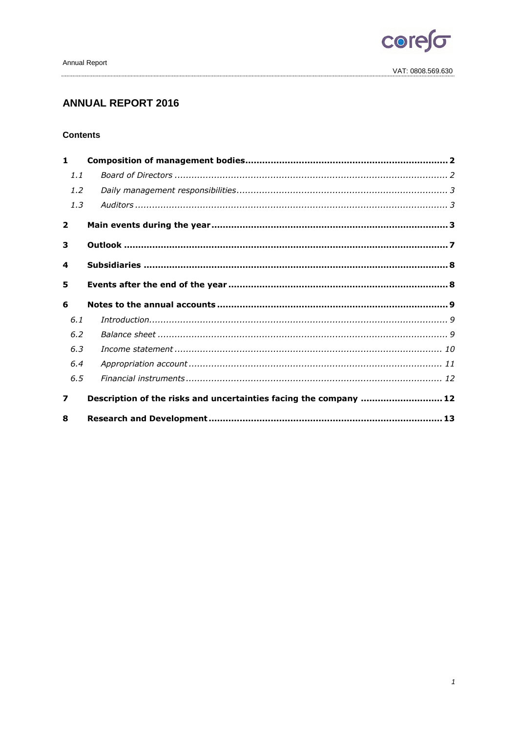

# **ANNUAL REPORT 2016**

# **Contents**

| 1              |                                                                   |
|----------------|-------------------------------------------------------------------|
| 1.1            |                                                                   |
| 1.2            |                                                                   |
| 1.3            |                                                                   |
| $\overline{2}$ |                                                                   |
| 3              |                                                                   |
| 4              |                                                                   |
| 5              |                                                                   |
|                |                                                                   |
| 6              |                                                                   |
| 6.1            |                                                                   |
| 6.2            |                                                                   |
| 6.3            |                                                                   |
| 6.4            |                                                                   |
| 6.5            |                                                                   |
| 7              | Description of the risks and uncertainties facing the company  12 |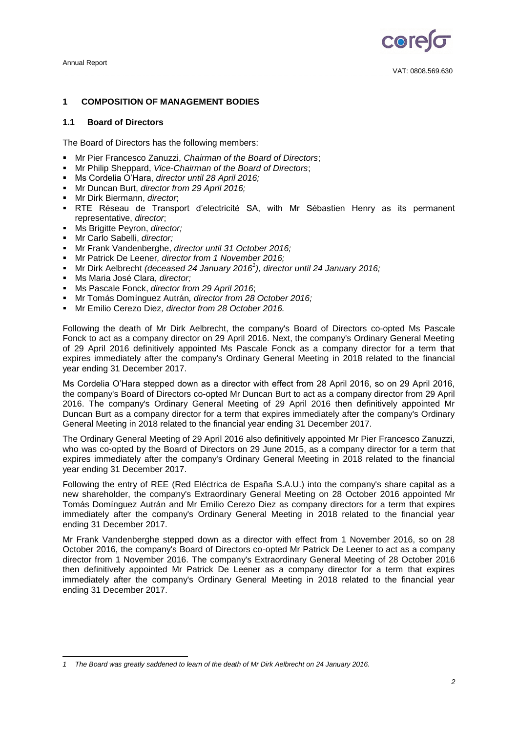

VAT: 0808.569.630

# <span id="page-1-0"></span>**1 COMPOSITION OF MANAGEMENT BODIES**

# <span id="page-1-1"></span>**1.1 Board of Directors**

The Board of Directors has the following members:

- Mr Pier Francesco Zanuzzi, *Chairman of the Board of Directors*;
- Mr Philip Sheppard, *Vice-Chairman of the Board of Directors*;
- Ms Cordelia O'Hara, *director until 28 April 2016;*
- Mr Duncan Burt, *director from 29 April 2016;*
- Mr Dirk Biermann, *director*;
- RTE Réseau de Transport d'electricité SA, with Mr Sébastien Henry as its permanent representative, *director*;
- Ms Brigitte Peyron, *director;*
- Mr Carlo Sabelli, *director;*
- Mr Frank Vandenberghe, *director until 31 October 2016;*
- Mr Patrick De Leener*, director from 1 November 2016;*
- Mr Dirk Aelbrecht *(deceased 24 January 2016<sup>1</sup> ), director until 24 January 2016;*
- Ms Maria José Clara, *director;*
- Ms Pascale Fonck, *director from 29 April 2016*;
- Mr Tomás Domínguez Autrán*, director from 28 October 2016;*
- Mr Emilio Cerezo Diez*, director from 28 October 2016.*

Following the death of Mr Dirk Aelbrecht, the company's Board of Directors co-opted Ms Pascale Fonck to act as a company director on 29 April 2016. Next, the company's Ordinary General Meeting of 29 April 2016 definitively appointed Ms Pascale Fonck as a company director for a term that expires immediately after the company's Ordinary General Meeting in 2018 related to the financial year ending 31 December 2017.

Ms Cordelia O'Hara stepped down as a director with effect from 28 April 2016, so on 29 April 2016, the company's Board of Directors co-opted Mr Duncan Burt to act as a company director from 29 April 2016. The company's Ordinary General Meeting of 29 April 2016 then definitively appointed Mr Duncan Burt as a company director for a term that expires immediately after the company's Ordinary General Meeting in 2018 related to the financial year ending 31 December 2017.

The Ordinary General Meeting of 29 April 2016 also definitively appointed Mr Pier Francesco Zanuzzi, who was co-opted by the Board of Directors on 29 June 2015, as a company director for a term that expires immediately after the company's Ordinary General Meeting in 2018 related to the financial year ending 31 December 2017.

Following the entry of REE (Red Eléctrica de España S.A.U.) into the company's share capital as a new shareholder, the company's Extraordinary General Meeting on 28 October 2016 appointed Mr Tomás Domínguez Autrán and Mr Emilio Cerezo Diez as company directors for a term that expires immediately after the company's Ordinary General Meeting in 2018 related to the financial year ending 31 December 2017.

Mr Frank Vandenberghe stepped down as a director with effect from 1 November 2016, so on 28 October 2016, the company's Board of Directors co-opted Mr Patrick De Leener to act as a company director from 1 November 2016. The company's Extraordinary General Meeting of 28 October 2016 then definitively appointed Mr Patrick De Leener as a company director for a term that expires immediately after the company's Ordinary General Meeting in 2018 related to the financial year ending 31 December 2017.

<sup>-</sup>*1 The Board was greatly saddened to learn of the death of Mr Dirk Aelbrecht on 24 January 2016.*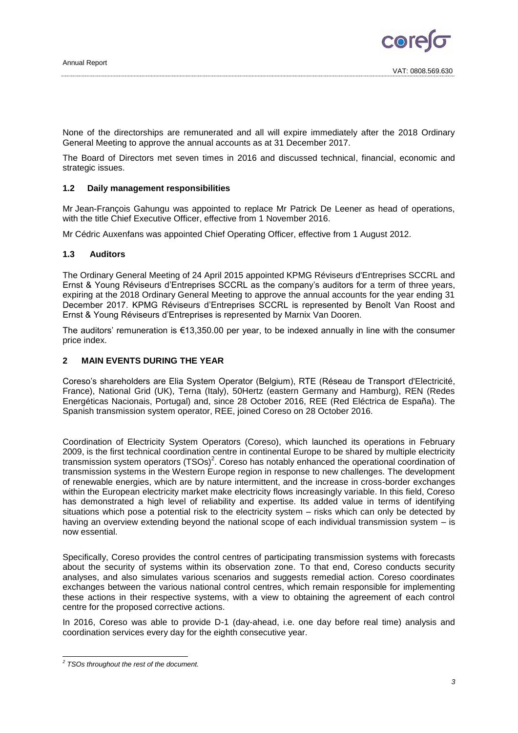

None of the directorships are remunerated and all will expire immediately after the 2018 Ordinary General Meeting to approve the annual accounts as at 31 December 2017.

The Board of Directors met seven times in 2016 and discussed technical, financial, economic and strategic issues.

#### <span id="page-2-0"></span>**1.2 Daily management responsibilities**

Mr Jean-François Gahungu was appointed to replace Mr Patrick De Leener as head of operations, with the title Chief Executive Officer, effective from 1 November 2016.

Mr Cédric Auxenfans was appointed Chief Operating Officer, effective from 1 August 2012.

#### <span id="page-2-1"></span>**1.3 Auditors**

The Ordinary General Meeting of 24 April 2015 appointed KPMG Réviseurs d'Entreprises SCCRL and Ernst & Young Réviseurs d'Entreprises SCCRL as the company's auditors for a term of three years, expiring at the 2018 Ordinary General Meeting to approve the annual accounts for the year ending 31 December 2017. KPMG Réviseurs d'Entreprises SCCRL is represented by Benoît Van Roost and Ernst & Young Réviseurs d'Entreprises is represented by Marnix Van Dooren.

The auditors' remuneration is €13,350.00 per year, to be indexed annually in line with the consumer price index.

# <span id="page-2-2"></span>**2 MAIN EVENTS DURING THE YEAR**

Coreso's shareholders are Elia System Operator (Belgium), RTE (Réseau de Transport d'Electricité, France), National Grid (UK), Terna (Italy), 50Hertz (eastern Germany and Hamburg), REN (Redes Energéticas Nacionais, Portugal) and, since 28 October 2016, REE (Red Eléctrica de España). The Spanish transmission system operator, REE, joined Coreso on 28 October 2016.

Coordination of Electricity System Operators (Coreso), which launched its operations in February 2009, is the first technical coordination centre in continental Europe to be shared by multiple electricity transmission system operators  $(TSOS)^2$ . Coreso has notably enhanced the operational coordination of transmission systems in the Western Europe region in response to new challenges. The development of renewable energies, which are by nature intermittent, and the increase in cross-border exchanges within the European electricity market make electricity flows increasingly variable. In this field, Coreso has demonstrated a high level of reliability and expertise. Its added value in terms of identifying situations which pose a potential risk to the electricity system – risks which can only be detected by having an overview extending beyond the national scope of each individual transmission system – is now essential.

Specifically, Coreso provides the control centres of participating transmission systems with forecasts about the security of systems within its observation zone. To that end, Coreso conducts security analyses, and also simulates various scenarios and suggests remedial action. Coreso coordinates exchanges between the various national control centres, which remain responsible for implementing these actions in their respective systems, with a view to obtaining the agreement of each control centre for the proposed corrective actions.

In 2016, Coreso was able to provide D-1 (day-ahead, i.e. one day before real time) analysis and coordination services every day for the eighth consecutive year.

 *2 TSOs throughout the rest of the document.*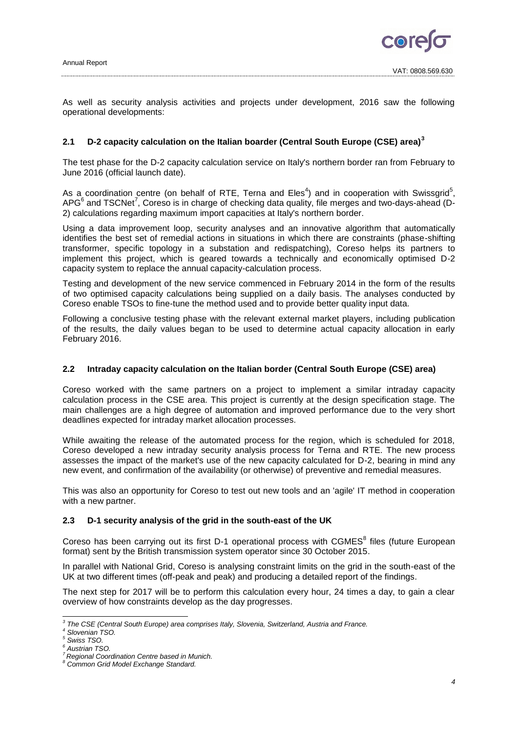

As well as security analysis activities and projects under development, 2016 saw the following operational developments:

# **2.1 D-2 capacity calculation on the Italian boarder (Central South Europe (CSE) area)<sup>3</sup>**

The test phase for the D-2 capacity calculation service on Italy's northern border ran from February to June 2016 (official launch date).

As a coordination centre (on behalf of RTE, Terna and Eles<sup>4</sup>) and in cooperation with Swissgrid<sup>5</sup>, APG $^6$  and TSCNet<sup>7</sup>, Coreso is in charge of checking data quality, file merges and two-days-ahead (D-2) calculations regarding maximum import capacities at Italy's northern border.

Using a data improvement loop, security analyses and an innovative algorithm that automatically identifies the best set of remedial actions in situations in which there are constraints (phase-shifting transformer, specific topology in a substation and redispatching), Coreso helps its partners to implement this project, which is geared towards a technically and economically optimised D-2 capacity system to replace the annual capacity-calculation process.

Testing and development of the new service commenced in February 2014 in the form of the results of two optimised capacity calculations being supplied on a daily basis. The analyses conducted by Coreso enable TSOs to fine-tune the method used and to provide better quality input data.

Following a conclusive testing phase with the relevant external market players, including publication of the results, the daily values began to be used to determine actual capacity allocation in early February 2016.

# **2.2 Intraday capacity calculation on the Italian border (Central South Europe (CSE) area)**

Coreso worked with the same partners on a project to implement a similar intraday capacity calculation process in the CSE area. This project is currently at the design specification stage. The main challenges are a high degree of automation and improved performance due to the very short deadlines expected for intraday market allocation processes.

While awaiting the release of the automated process for the region, which is scheduled for 2018, Coreso developed a new intraday security analysis process for Terna and RTE. The new process assesses the impact of the market's use of the new capacity calculated for D-2, bearing in mind any new event, and confirmation of the availability (or otherwise) of preventive and remedial measures.

This was also an opportunity for Coreso to test out new tools and an 'agile' IT method in cooperation with a new partner.

# **2.3 D-1 security analysis of the grid in the south-east of the UK**

Coreso has been carrying out its first D-1 operational process with CGMES<sup>8</sup> files (future European format) sent by the British transmission system operator since 30 October 2015.

In parallel with National Grid, Coreso is analysing constraint limits on the grid in the south-east of the UK at two different times (off-peak and peak) and producing a detailed report of the findings.

The next step for 2017 will be to perform this calculation every hour, 24 times a day, to gain a clear overview of how constraints develop as the day progresses.

 *3 The CSE (Central South Europe) area comprises Italy, Slovenia, Switzerland, Austria and France.*

*<sup>4</sup> Slovenian TSO.*

*<sup>5</sup> Swiss TSO.*

*<sup>6</sup> Austrian TSO.*

*<sup>7</sup> Regional Coordination Centre based in Munich.*

*<sup>8</sup> Common Grid Model Exchange Standard.*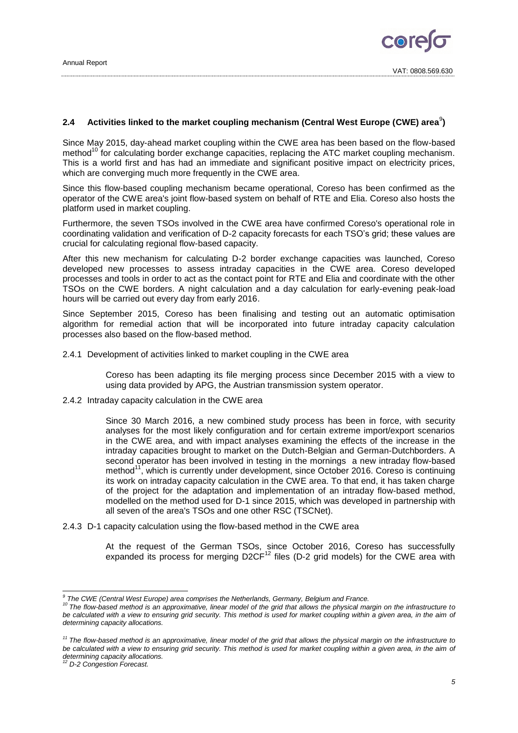# 2.4 Activities linked to the market coupling mechanism (Central West Europe (CWE) area $^{\circ}$ )

Since May 2015, day-ahead market coupling within the CWE area has been based on the flow-based method<sup>10</sup> for calculating border exchange capacities, replacing the ATC market coupling mechanism. This is a world first and has had an immediate and significant positive impact on electricity prices, which are converging much more frequently in the CWE area.

Since this flow-based coupling mechanism became operational, Coreso has been confirmed as the operator of the CWE area's joint flow-based system on behalf of RTE and Elia. Coreso also hosts the platform used in market coupling.

Furthermore, the seven TSOs involved in the CWE area have confirmed Coreso's operational role in coordinating validation and verification of D-2 capacity forecasts for each TSO's grid; these values are crucial for calculating regional flow-based capacity.

After this new mechanism for calculating D-2 border exchange capacities was launched, Coreso developed new processes to assess intraday capacities in the CWE area. Coreso developed processes and tools in order to act as the contact point for RTE and Elia and coordinate with the other TSOs on the CWE borders. A night calculation and a day calculation for early-evening peak-load hours will be carried out every day from early 2016.

Since September 2015, Coreso has been finalising and testing out an automatic optimisation algorithm for remedial action that will be incorporated into future intraday capacity calculation processes also based on the flow-based method.

2.4.1 Development of activities linked to market coupling in the CWE area

Coreso has been adapting its file merging process since December 2015 with a view to using data provided by APG, the Austrian transmission system operator.

2.4.2 Intraday capacity calculation in the CWE area

Since 30 March 2016, a new combined study process has been in force, with security analyses for the most likely configuration and for certain extreme import/export scenarios in the CWE area, and with impact analyses examining the effects of the increase in the intraday capacities brought to market on the Dutch-Belgian and German-Dutchborders. A second operator has been involved in testing in the mornings a new intraday flow-based method<sup>11</sup>, which is currently under development, since October 2016. Coreso is continuing its work on intraday capacity calculation in the CWE area. To that end, it has taken charge of the project for the adaptation and implementation of an intraday flow-based method, modelled on the method used for D-1 since 2015, which was developed in partnership with all seven of the area's TSOs and one other RSC (TSCNet).

2.4.3 D-1 capacity calculation using the flow-based method in the CWE area

At the request of the German TSOs, since October 2016, Coreso has successfully expanded its process for merging  $D2CF^{12}$  files (D-2 grid models) for the CWE area with

 *9 The CWE (Central West Europe) area comprises the Netherlands, Germany, Belgium and France.*

*<sup>10</sup> The flow-based method is an approximative, linear model of the grid that allows the physical margin on the infrastructure to be calculated with a view to ensuring grid security. This method is used for market coupling within a given area, in the aim of determining capacity allocations.*

*<sup>11</sup> The flow-based method is an approximative, linear model of the grid that allows the physical margin on the infrastructure to be calculated with a view to ensuring grid security. This method is used for market coupling within a given area, in the aim of determining capacity allocations.*

*<sup>12</sup> D-2 Congestion Forecast.*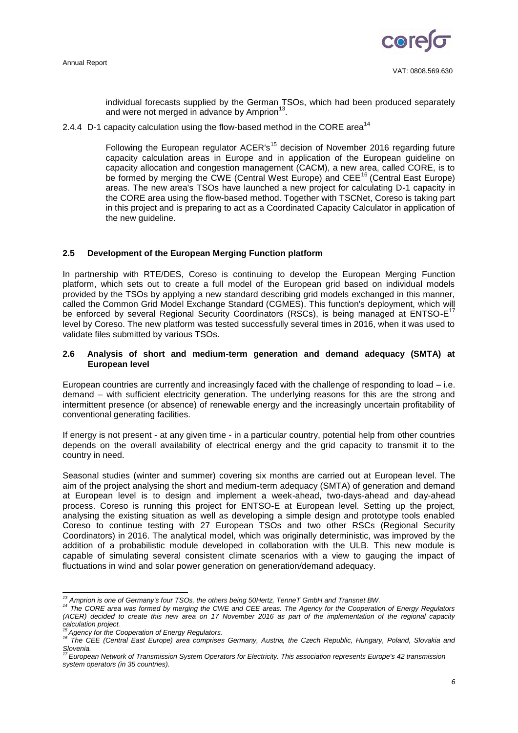

individual forecasts supplied by the German TSOs, which had been produced separately and were not merged in advance by Amprion<sup>13</sup>.

2.4.4 D-1 capacity calculation using the flow-based method in the CORE area<sup>14</sup>

Following the European regulator ACER's<sup>15</sup> decision of November 2016 regarding future capacity calculation areas in Europe and in application of the European guideline on capacity allocation and congestion management (CACM), a new area, called CORE, is to be formed by merging the CWE (Central West Europe) and CEE<sup>16</sup> (Central East Europe) areas. The new area's TSOs have launched a new project for calculating D-1 capacity in the CORE area using the flow-based method. Together with TSCNet, Coreso is taking part in this project and is preparing to act as a Coordinated Capacity Calculator in application of the new guideline.

#### **2.5 Development of the European Merging Function platform**

In partnership with RTE/DES, Coreso is continuing to develop the European Merging Function platform, which sets out to create a full model of the European grid based on individual models provided by the TSOs by applying a new standard describing grid models exchanged in this manner, called the Common Grid Model Exchange Standard (CGMES). This function's deployment, which will be enforced by several Regional Security Coordinators (RSCs), is being managed at ENTSO-E<sup>17</sup> level by Coreso. The new platform was tested successfully several times in 2016, when it was used to validate files submitted by various TSOs.

## **2.6 Analysis of short and medium-term generation and demand adequacy (SMTA) at European level**

European countries are currently and increasingly faced with the challenge of responding to load – i.e. demand – with sufficient electricity generation. The underlying reasons for this are the strong and intermittent presence (or absence) of renewable energy and the increasingly uncertain profitability of conventional generating facilities.

If energy is not present - at any given time - in a particular country, potential help from other countries depends on the overall availability of electrical energy and the grid capacity to transmit it to the country in need.

Seasonal studies (winter and summer) covering six months are carried out at European level. The aim of the project analysing the short and medium-term adequacy (SMTA) of generation and demand at European level is to design and implement a week-ahead, two-days-ahead and day-ahead process. Coreso is running this project for ENTSO-E at European level. Setting up the project, analysing the existing situation as well as developing a simple design and prototype tools enabled Coreso to continue testing with 27 European TSOs and two other RSCs (Regional Security Coordinators) in 2016. The analytical model, which was originally deterministic, was improved by the addition of a probabilistic module developed in collaboration with the ULB. This new module is capable of simulating several consistent climate scenarios with a view to gauging the impact of fluctuations in wind and solar power generation on generation/demand adequacy.

-

*<sup>13</sup> Amprion is one of Germany's four TSOs, the others being 50Hertz, TenneT GmbH and Transnet BW.*

*<sup>14</sup> The CORE area was formed by merging the CWE and CEE areas. The Agency for the Cooperation of Energy Regulators (ACER) decided to create this new area on 17 November 2016 as part of the implementation of the regional capacity calculation project.*

*<sup>15</sup> Agency for the Cooperation of Energy Regulators.*

<sup>&</sup>lt;sup>16</sup> The CEE (Central East Europe) area comprises Germany, Austria, the Czech Republic, Hungary, Poland, Slovakia and *Slovenia.*

*<sup>17</sup> European Network of Transmission System Operators for Electricity. This association represents Europe's 42 transmission system operators (in 35 countries).*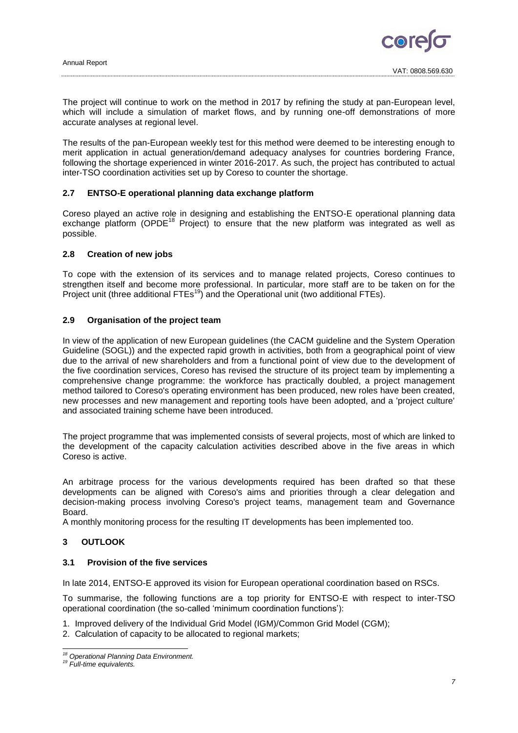

The project will continue to work on the method in 2017 by refining the study at pan-European level, which will include a simulation of market flows, and by running one-off demonstrations of more accurate analyses at regional level.

The results of the pan-European weekly test for this method were deemed to be interesting enough to merit application in actual generation/demand adequacy analyses for countries bordering France, following the shortage experienced in winter 2016-2017. As such, the project has contributed to actual inter-TSO coordination activities set up by Coreso to counter the shortage.

# **2.7 ENTSO-E operational planning data exchange platform**

Coreso played an active role in designing and establishing the ENTSO-E operational planning data exchange platform (OPDE<sup>18</sup> Project) to ensure that the new platform was integrated as well as possible.

#### **2.8 Creation of new jobs**

To cope with the extension of its services and to manage related projects, Coreso continues to strengthen itself and become more professional. In particular, more staff are to be taken on for the Project unit (three additional  $FTEs^{19}$ ) and the Operational unit (two additional FTEs).

#### **2.9 Organisation of the project team**

In view of the application of new European guidelines (the CACM guideline and the System Operation Guideline (SOGL)) and the expected rapid growth in activities, both from a geographical point of view due to the arrival of new shareholders and from a functional point of view due to the development of the five coordination services, Coreso has revised the structure of its project team by implementing a comprehensive change programme: the workforce has practically doubled, a project management method tailored to Coreso's operating environment has been produced, new roles have been created, new processes and new management and reporting tools have been adopted, and a 'project culture' and associated training scheme have been introduced.

The project programme that was implemented consists of several projects, most of which are linked to the development of the capacity calculation activities described above in the five areas in which Coreso is active.

An arbitrage process for the various developments required has been drafted so that these developments can be aligned with Coreso's aims and priorities through a clear delegation and decision-making process involving Coreso's project teams, management team and Governance Board.

A monthly monitoring process for the resulting IT developments has been implemented too.

# <span id="page-6-0"></span>**3 OUTLOOK**

# **3.1 Provision of the five services**

In late 2014, ENTSO-E approved its vision for European operational coordination based on RSCs.

To summarise, the following functions are a top priority for ENTSO-E with respect to inter-TSO operational coordination (the so-called 'minimum coordination functions'):

- 1. Improved delivery of the Individual Grid Model (IGM)/Common Grid Model (CGM);
- 2. Calculation of capacity to be allocated to regional markets;

<sup>-</sup>*<sup>18</sup> Operational Planning Data Environment.*

*<sup>19</sup> Full-time equivalents.*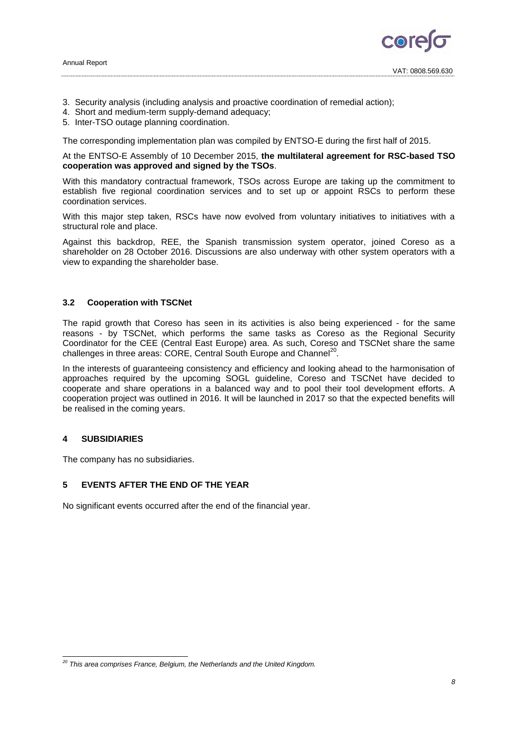

- 3. Security analysis (including analysis and proactive coordination of remedial action);
- 4. Short and medium-term supply-demand adequacy;
- 5. Inter-TSO outage planning coordination.

The corresponding implementation plan was compiled by ENTSO-E during the first half of 2015.

# At the ENTSO-E Assembly of 10 December 2015, **the multilateral agreement for RSC-based TSO cooperation was approved and signed by the TSOs**.

With this mandatory contractual framework, TSOs across Europe are taking up the commitment to establish five regional coordination services and to set up or appoint RSCs to perform these coordination services.

With this major step taken, RSCs have now evolved from voluntary initiatives to initiatives with a structural role and place.

Against this backdrop, REE, the Spanish transmission system operator, joined Coreso as a shareholder on 28 October 2016. Discussions are also underway with other system operators with a view to expanding the shareholder base.

# **3.2 Cooperation with TSCNet**

The rapid growth that Coreso has seen in its activities is also being experienced - for the same reasons - by TSCNet, which performs the same tasks as Coreso as the Regional Security Coordinator for the CEE (Central East Europe) area. As such, Coreso and TSCNet share the same challenges in three areas: CORE, Central South Europe and Channel<sup>20</sup>.

In the interests of guaranteeing consistency and efficiency and looking ahead to the harmonisation of approaches required by the upcoming SOGL guideline, Coreso and TSCNet have decided to cooperate and share operations in a balanced way and to pool their tool development efforts. A cooperation project was outlined in 2016. It will be launched in 2017 so that the expected benefits will be realised in the coming years.

# <span id="page-7-0"></span>**4 SUBSIDIARIES**

The company has no subsidiaries.

# <span id="page-7-1"></span>**5 EVENTS AFTER THE END OF THE YEAR**

No significant events occurred after the end of the financial year.

<sup>-</sup>*<sup>20</sup> This area comprises France, Belgium, the Netherlands and the United Kingdom.*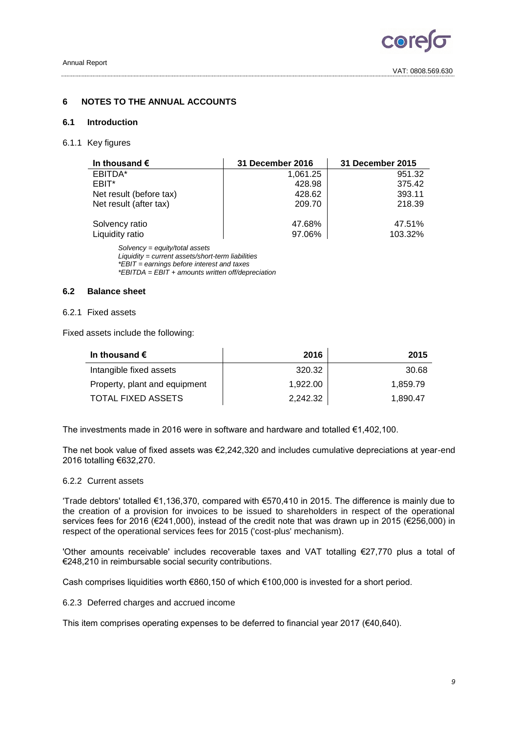

# <span id="page-8-0"></span>**6 NOTES TO THE ANNUAL ACCOUNTS**

### <span id="page-8-1"></span>**6.1 Introduction**

#### 6.1.1 Key figures

| In thousand $\epsilon$         | <b>31 December 2016</b> | 31 December 2015 |
|--------------------------------|-------------------------|------------------|
| EBITDA*                        | 1,061.25                | 951.32           |
| EBIT*                          | 428.98                  | 375.42           |
| Net result (before tax)        | 428.62                  | 393.11           |
| Net result (after tax)         | 209.70                  | 218.39           |
| Solvency ratio                 | 47.68%                  | 47.51%           |
| Liquidity ratio                | 97.06%                  | 103.32%          |
| Solvency = equity/total assets |                         |                  |

*Liquidity = current assets/short-term liabilities \*EBIT = earnings before interest and taxes \*EBITDA = EBIT + amounts written off/depreciation*

# <span id="page-8-2"></span>**6.2 Balance sheet**

# 6.2.1 Fixed assets

Fixed assets include the following:

| In thousand $\bm{\epsilon}$   | 2016     | 2015     |
|-------------------------------|----------|----------|
| Intangible fixed assets       | 320.32   | 30.68    |
| Property, plant and equipment | 1.922.00 | 1.859.79 |
| TOTAL FIXED ASSETS            | 2.242.32 | 1.890.47 |

The investments made in 2016 were in software and hardware and totalled €1,402,100.

The net book value of fixed assets was €2,242,320 and includes cumulative depreciations at year-end 2016 totalling €632,270.

#### 6.2.2 Current assets

'Trade debtors' totalled €1,136,370, compared with €570,410 in 2015. The difference is mainly due to the creation of a provision for invoices to be issued to shareholders in respect of the operational services fees for 2016 (€241,000), instead of the credit note that was drawn up in 2015 (€256,000) in respect of the operational services fees for 2015 ('cost-plus' mechanism).

'Other amounts receivable' includes recoverable taxes and VAT totalling €27,770 plus a total of €248,210 in reimbursable social security contributions.

Cash comprises liquidities worth €860,150 of which €100,000 is invested for a short period.

6.2.3 Deferred charges and accrued income

This item comprises operating expenses to be deferred to financial year 2017 ( $€40,640$ ).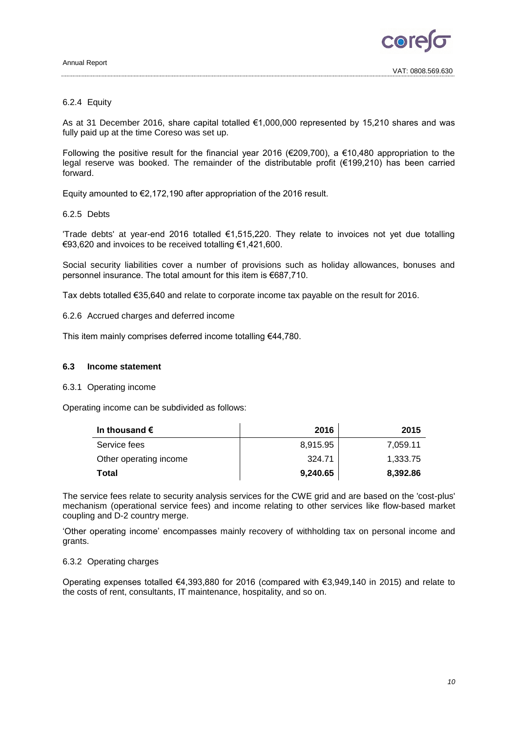

# 6.2.4 Equity

As at 31 December 2016, share capital totalled €1,000,000 represented by 15,210 shares and was fully paid up at the time Coreso was set up.

Following the positive result for the financial year 2016 (€209,700), a €10,480 appropriation to the legal reserve was booked. The remainder of the distributable profit (€199,210) has been carried forward.

Equity amounted to €2,172,190 after appropriation of the 2016 result.

#### 6.2.5 Debts

'Trade debts' at year-end 2016 totalled €1,515,220. They relate to invoices not yet due totalling €93,620 and invoices to be received totalling €1,421,600.

Social security liabilities cover a number of provisions such as holiday allowances, bonuses and personnel insurance. The total amount for this item is €687,710.

Tax debts totalled €35,640 and relate to corporate income tax payable on the result for 2016.

6.2.6 Accrued charges and deferred income

This item mainly comprises deferred income totalling €44,780.

#### <span id="page-9-0"></span>**6.3 Income statement**

### 6.3.1 Operating income

Operating income can be subdivided as follows:

| In thousand $\epsilon$ | 2016     | 2015     |
|------------------------|----------|----------|
| Service fees           | 8,915.95 | 7,059.11 |
| Other operating income | 324.71   | 1,333.75 |
| Total                  | 9,240.65 | 8,392.86 |

The service fees relate to security analysis services for the CWE grid and are based on the 'cost-plus' mechanism (operational service fees) and income relating to other services like flow-based market coupling and D-2 country merge.

'Other operating income' encompasses mainly recovery of withholding tax on personal income and grants.

## 6.3.2 Operating charges

Operating expenses totalled €4,393,880 for 2016 (compared with €3,949,140 in 2015) and relate to the costs of rent, consultants, IT maintenance, hospitality, and so on.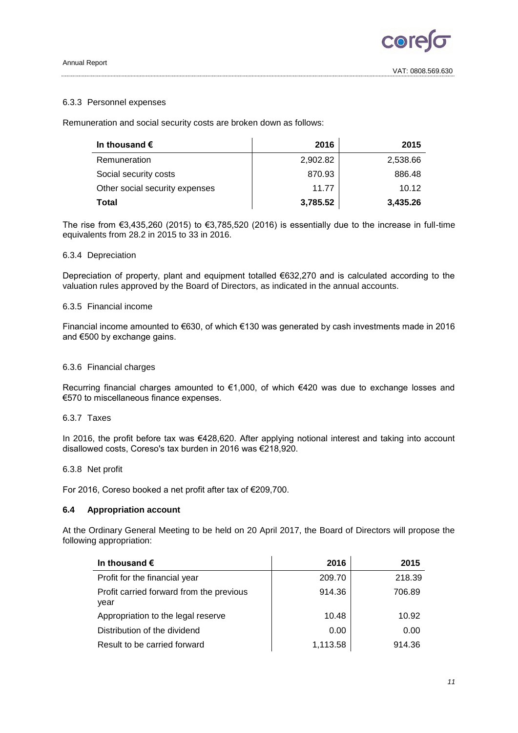#### Annual Report

# 6.3.3 Personnel expenses

Remuneration and social security costs are broken down as follows:

| In thousand $\epsilon$         | 2016     | 2015     |
|--------------------------------|----------|----------|
| Remuneration                   | 2,902.82 | 2,538.66 |
| Social security costs          | 870.93   | 886.48   |
| Other social security expenses | 11.77    | 10.12    |
| Total                          | 3,785.52 | 3,435.26 |

The rise from  $\epsilon$ 3,435,260 (2015) to  $\epsilon$ 3,785,520 (2016) is essentially due to the increase in full-time equivalents from 28.2 in 2015 to 33 in 2016.

# 6.3.4 Depreciation

Depreciation of property, plant and equipment totalled €632,270 and is calculated according to the valuation rules approved by the Board of Directors, as indicated in the annual accounts.

# 6.3.5 Financial income

Financial income amounted to €630, of which €130 was generated by cash investments made in 2016 and €500 by exchange gains.

# 6.3.6 Financial charges

Recurring financial charges amounted to €1,000, of which €420 was due to exchange losses and €570 to miscellaneous finance expenses.

#### 6.3.7 Taxes

In 2016, the profit before tax was €428,620. After applying notional interest and taking into account disallowed costs, Coreso's tax burden in 2016 was €218,920.

# 6.3.8 Net profit

For 2016, Coreso booked a net profit after tax of €209,700.

# <span id="page-10-0"></span>**6.4 Appropriation account**

At the Ordinary General Meeting to be held on 20 April 2017, the Board of Directors will propose the following appropriation:

| In thousand $\epsilon$                           | 2016     | 2015   |
|--------------------------------------------------|----------|--------|
| Profit for the financial year                    | 209.70   | 218.39 |
| Profit carried forward from the previous<br>vear | 914.36   | 706.89 |
| Appropriation to the legal reserve               | 10.48    | 10.92  |
| Distribution of the dividend                     | 0.00     | 0.00   |
| Result to be carried forward                     | 1,113.58 | 914.36 |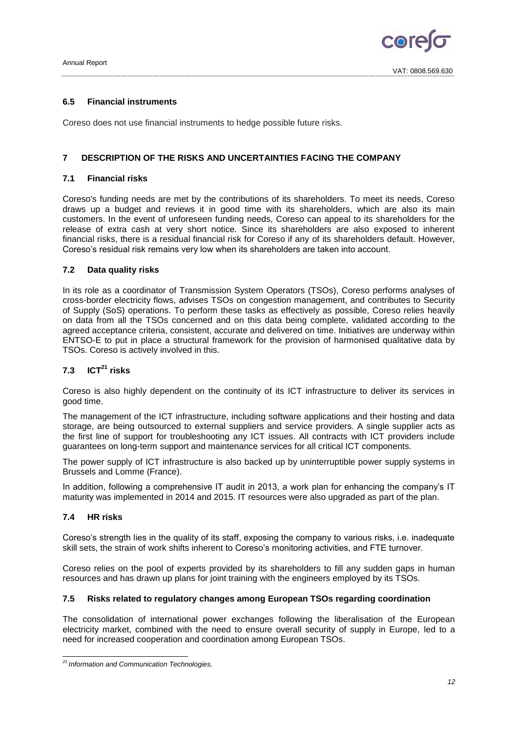

# <span id="page-11-0"></span>**6.5 Financial instruments**

Coreso does not use financial instruments to hedge possible future risks.

# <span id="page-11-1"></span>**7 DESCRIPTION OF THE RISKS AND UNCERTAINTIES FACING THE COMPANY**

# **7.1 Financial risks**

Coreso's funding needs are met by the contributions of its shareholders. To meet its needs, Coreso draws up a budget and reviews it in good time with its shareholders, which are also its main customers. In the event of unforeseen funding needs, Coreso can appeal to its shareholders for the release of extra cash at very short notice. Since its shareholders are also exposed to inherent financial risks, there is a residual financial risk for Coreso if any of its shareholders default. However, Coreso's residual risk remains very low when its shareholders are taken into account.

# **7.2 Data quality risks**

In its role as a coordinator of Transmission System Operators (TSOs), Coreso performs analyses of cross-border electricity flows, advises TSOs on congestion management, and contributes to Security of Supply (SoS) operations. To perform these tasks as effectively as possible, Coreso relies heavily on data from all the TSOs concerned and on this data being complete, validated according to the agreed acceptance criteria, consistent, accurate and delivered on time. Initiatives are underway within ENTSO-E to put in place a structural framework for the provision of harmonised qualitative data by TSOs. Coreso is actively involved in this.

# **7.3 ICT<sup>21</sup> risks**

Coreso is also highly dependent on the continuity of its ICT infrastructure to deliver its services in good time.

The management of the ICT infrastructure, including software applications and their hosting and data storage, are being outsourced to external suppliers and service providers. A single supplier acts as the first line of support for troubleshooting any ICT issues. All contracts with ICT providers include guarantees on long-term support and maintenance services for all critical ICT components.

The power supply of ICT infrastructure is also backed up by uninterruptible power supply systems in Brussels and Lomme (France).

In addition, following a comprehensive IT audit in 2013, a work plan for enhancing the company's IT maturity was implemented in 2014 and 2015. IT resources were also upgraded as part of the plan.

# **7.4 HR risks**

Coreso's strength lies in the quality of its staff, exposing the company to various risks, i.e. inadequate skill sets, the strain of work shifts inherent to Coreso's monitoring activities, and FTE turnover.

Coreso relies on the pool of experts provided by its shareholders to fill any sudden gaps in human resources and has drawn up plans for joint training with the engineers employed by its TSOs.

# **7.5 Risks related to regulatory changes among European TSOs regarding coordination**

The consolidation of international power exchanges following the liberalisation of the European electricity market, combined with the need to ensure overall security of supply in Europe, led to a need for increased cooperation and coordination among European TSOs.

<sup>-</sup>*<sup>21</sup> Information and Communication Technologies.*